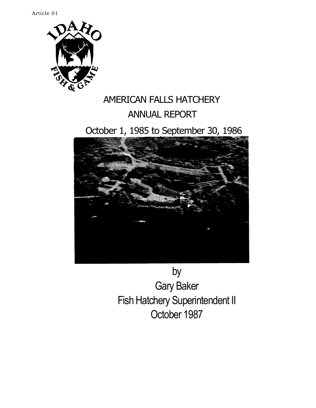Article 01



# AMERICAN FALLS HATCHERY ANNUAL REPORT

# October 1, 1985 to September 30, 1986



by Gary Baker Fish Hatchery Superintendent II October 1987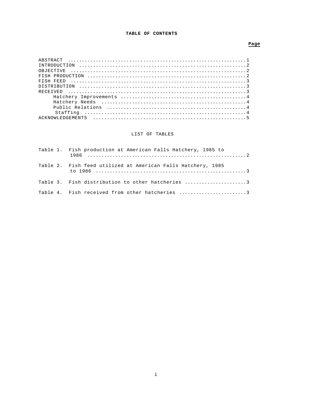## **TABLE OF CONTENTS**

## **Page**

# LIST OF TABLES

| Table 1. Fish production at American Falls Hatchery, 1985 to |
|--------------------------------------------------------------|
| Table 2. Fish feed utilized at American Falls Hatchery, 1985 |
| Table 3. Fish distribution to other hatcheries 3             |
| Table 4. Fish received from other hatcheries 3               |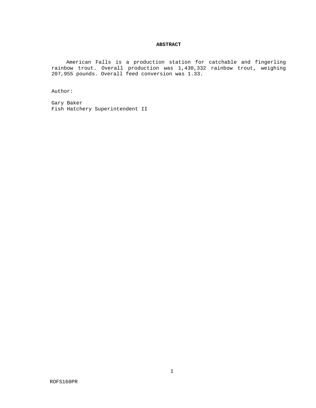### **ABSTRACT**

American Falls is a production station for catchable and fingerling rainbow trout. Overall production was 1,430,332 rainbow trout, weighing 207,955 pounds. Overall feed conversion was 1.33.

Author:

Gary Baker Fish Hatchery Superintendent II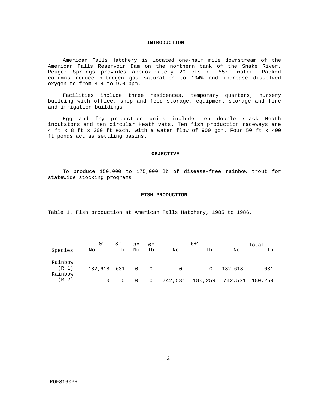#### **INTRODUCTION**

American Falls Hatchery is located one-half mile downstream of the American Falls Reservoir Dam on the northern bank of the Snake River. Reuger Springs provides approximately 20 cfs of 55°F water. Packed columns reduce nitrogen gas saturation to 104% and increase dissolved oxygen to from 8.4 to 9.0 ppm.

Facilities include three residences, temporary quarters, nursery building with office, shop and feed storage, equipment storage and fire and irrigation buildings.

Egg and fry production units include ten double stack Heath incubators and ten circular Heath vats. Ten fish production raceways are 4 ft x 8 ft x 200 ft each, with a water flow of 900 gpm. Four 50 ft x 400 ft ponds act as settling basins.

#### **OBJECTIVE**

To produce 150,000 to 175,000 lb of disease-free rainbow trout for statewide stocking programs.

#### **FISH PRODUCTION**

Table 1. Fish production at American Falls Hatchery, 1985 to 1986.

|                               | $0" - 3"$   |    | $3" - 6"$   |                |          | $6 + "$         |         | Total   |
|-------------------------------|-------------|----|-------------|----------------|----------|-----------------|---------|---------|
| Species                       | No.         | Δb | No.         | lb             | No.      | lb              | No.     | lb      |
| Rainbow<br>$(R-1)$<br>Rainbow | 182,618 631 |    | $0\qquad 0$ |                | $\Omega$ | $\Omega$        | 182,618 | 631     |
| $(R-2)$                       | $\Omega$    |    | 0           | $\overline{0}$ |          | 742,531 180,259 | 742,531 | 180,259 |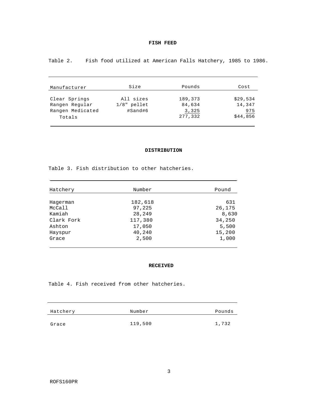## **FISH FEED**

Table 2. Fish food utilized at American Falls Hatchery, 1985 to 1986.

| Manufacturer     | Size          | Pounds  | Cost     |
|------------------|---------------|---------|----------|
| Clear Springs    | All sizes     | 189,373 | \$29,534 |
| Rangen Regular   | $1/8"$ pellet | 84,634  | 14,347   |
| Rangen Medicated | #Sand#6       | 3,325   | 975      |
| Totals           |               | 277,332 | \$44,856 |

## **DISTRIBUTION**

Table 3. Fish distribution to other hatcheries.

| Hatchery   | Number  | Pound  |
|------------|---------|--------|
|            |         |        |
| Hagerman   | 182,618 | 631    |
| McCall     | 97,225  | 26,175 |
| Kamiah     | 28,249  | 8,630  |
| Clark Fork | 117,380 | 34,250 |
| Ashton     | 17,050  | 5,500  |
| Hayspur    | 40,240  | 15,200 |
| Grace      | 2,500   | 1,000  |

### **RECEIVED**

Table 4. Fish received from other hatcheries.

| Hatchery | Number  | Pounds |
|----------|---------|--------|
| Grace    | 119,500 | 1,732  |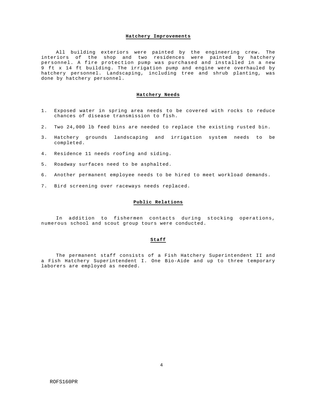#### **Hatchery Improvements**

All building exteriors were painted by the engineering crew. The interiors of the shop and two residences were painted by hatchery personnel. A fire protection pump was purchased and installed in a new 9 ft x 14 ft building. The irrigation pump and engine were overhauled by hatchery personnel. Landscaping, including tree and shrub planting, was done by hatchery personnel.

#### **Hatchery Needs**

- 1. Exposed water in spring area needs to be covered with rocks to reduce chances of disease transmission to fish.
- 2. Two 24,000 lb feed bins are needed to replace the existing rusted bin.
- 3. Hatchery grounds landscaping and irrigation system needs to be completed.
- 4. Residence 11 needs roofing and siding.
- 5. Roadway surfaces need to be asphalted.
- 6. Another permanent employee needs to be hired to meet workload demands.
- 7. Bird screening over raceways needs replaced.

#### **Public Relations**

In addition to fishermen contacts during stocking operations, numerous school and scout group tours were conducted.

## **Staff**

The permanent staff consists of a Fish Hatchery Superintendent II and a Fish Hatchery Superintendent I. One Bio-Aide and up to three temporary laborers are employed as needed.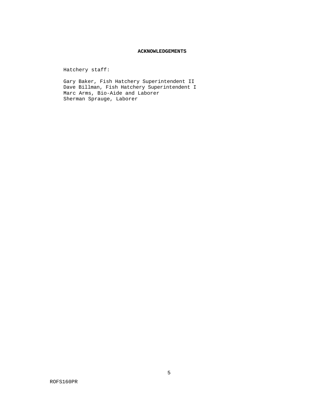## **ACKNOWLEDGEMENTS**

Hatchery staff:

Gary Baker, Fish Hatchery Superintendent II Dave Billman, Fish Hatchery Superintendent I Marc Arms, Bio-Aide and Laborer Sherman Sprauge, Laborer